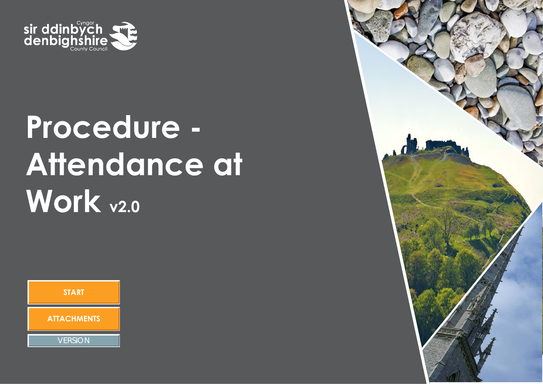

# **Procedure - Attendance at Work v2.0**



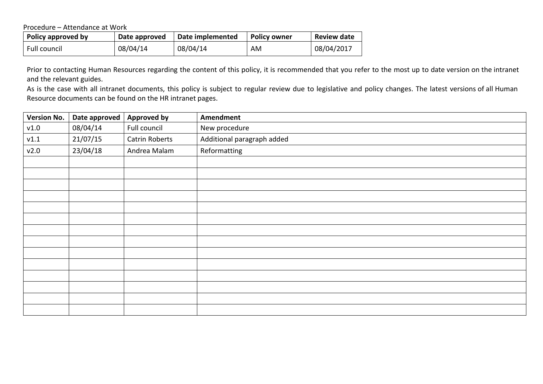Procedure – Attendance at Work

| Policy approved by | Date approved | Date implemented | <b>Policy owner</b> | <b>Review date</b> |
|--------------------|---------------|------------------|---------------------|--------------------|
| Full council       | 08/04/14      | 08/04/14         | AM                  | 08/04/2017         |

Prior to contacting Human Resources regarding the content of this policy, it is recommended that you refer to the most up to date version on the intranet and the relevant guides.

As is the case with all intranet documents, this policy is subject to regular review due to legislative and policy changes. The latest versions of all Human Resource documents can be found on the HR intranet pages.

| <b>Version No.</b> | Date approved | <b>Approved by</b> | Amendment                  |
|--------------------|---------------|--------------------|----------------------------|
| v1.0               | 08/04/14      | Full council       | New procedure              |
| v1.1               | 21/07/15      | Catrin Roberts     | Additional paragraph added |
| v2.0               | 23/04/18      | Andrea Malam       | Reformatting               |
|                    |               |                    |                            |
|                    |               |                    |                            |
|                    |               |                    |                            |
|                    |               |                    |                            |
|                    |               |                    |                            |
|                    |               |                    |                            |
|                    |               |                    |                            |
|                    |               |                    |                            |
|                    |               |                    |                            |
|                    |               |                    |                            |
|                    |               |                    |                            |
|                    |               |                    |                            |
|                    |               |                    |                            |
|                    |               |                    |                            |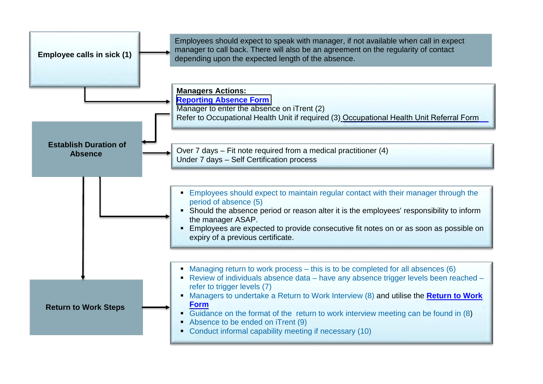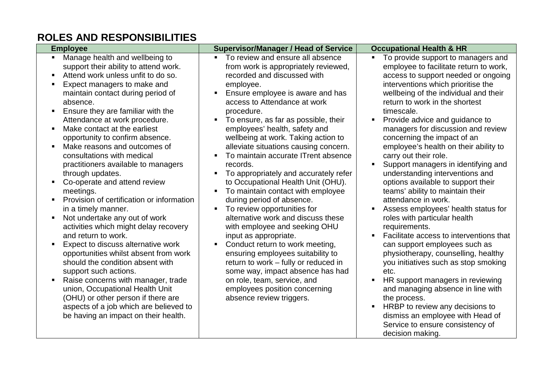## **ROLES AND RESPONSIBILITIES**

| <b>Employee</b>                                                                                                                                                                                                                                                                                                                                                                                                                                                                                                                                                                                                                                                                                                                                                                                                                                                                                                                                                                                                                                        | <b>Supervisor/Manager / Head of Service</b>                                                                                                                                                                                                                                                                                                                                                                                                                                                                                                                                                                                                                                                                                                                                                                                                                                                                                                                                            | <b>Occupational Health &amp; HR</b>                                                                                                                                                                                                                                                                                                                                                                                                                                                                                                                                                                                                                                                                                                                                                                                                                                                                                                                                                                                                                                                                                                |
|--------------------------------------------------------------------------------------------------------------------------------------------------------------------------------------------------------------------------------------------------------------------------------------------------------------------------------------------------------------------------------------------------------------------------------------------------------------------------------------------------------------------------------------------------------------------------------------------------------------------------------------------------------------------------------------------------------------------------------------------------------------------------------------------------------------------------------------------------------------------------------------------------------------------------------------------------------------------------------------------------------------------------------------------------------|----------------------------------------------------------------------------------------------------------------------------------------------------------------------------------------------------------------------------------------------------------------------------------------------------------------------------------------------------------------------------------------------------------------------------------------------------------------------------------------------------------------------------------------------------------------------------------------------------------------------------------------------------------------------------------------------------------------------------------------------------------------------------------------------------------------------------------------------------------------------------------------------------------------------------------------------------------------------------------------|------------------------------------------------------------------------------------------------------------------------------------------------------------------------------------------------------------------------------------------------------------------------------------------------------------------------------------------------------------------------------------------------------------------------------------------------------------------------------------------------------------------------------------------------------------------------------------------------------------------------------------------------------------------------------------------------------------------------------------------------------------------------------------------------------------------------------------------------------------------------------------------------------------------------------------------------------------------------------------------------------------------------------------------------------------------------------------------------------------------------------------|
| Manage health and wellbeing to<br>$\blacksquare$<br>support their ability to attend work.<br>Attend work unless unfit to do so.<br>Expect managers to make and<br>maintain contact during period of<br>absence.<br>Ensure they are familiar with the<br>Attendance at work procedure.<br>Make contact at the earliest<br>٠.<br>opportunity to confirm absence.<br>Make reasons and outcomes of<br>consultations with medical<br>practitioners available to managers<br>through updates.<br>Co-operate and attend review<br>meetings.<br>Provision of certification or information<br>in a timely manner.<br>Not undertake any out of work<br>activities which might delay recovery<br>and return to work.<br>Expect to discuss alternative work<br>opportunities whilst absent from work<br>should the condition absent with<br>support such actions.<br>Raise concerns with manager, trade<br>union, Occupational Health Unit<br>(OHU) or other person if there are<br>aspects of a job which are believed to<br>be having an impact on their health. | To review and ensure all absence<br>$\blacksquare$<br>from work is appropriately reviewed,<br>recorded and discussed with<br>employee.<br>Ensure employee is aware and has<br>access to Attendance at work<br>procedure.<br>To ensure, as far as possible, their<br>employees' health, safety and<br>wellbeing at work. Taking action to<br>alleviate situations causing concern.<br>To maintain accurate ITrent absence<br>records.<br>To appropriately and accurately refer<br>to Occupational Health Unit (OHU).<br>To maintain contact with employee<br>during period of absence.<br>To review opportunities for<br>$\blacksquare$<br>alternative work and discuss these<br>with employee and seeking OHU<br>input as appropriate.<br>Conduct return to work meeting,<br>ensuring employees suitability to<br>return to work - fully or reduced in<br>some way, impact absence has had<br>on role, team, service, and<br>employees position concerning<br>absence review triggers. | To provide support to managers and<br>$\blacksquare$<br>employee to facilitate return to work,<br>access to support needed or ongoing<br>interventions which prioritise the<br>wellbeing of the individual and their<br>return to work in the shortest<br>timescale.<br>Provide advice and guidance to<br>$\blacksquare$<br>managers for discussion and review<br>concerning the impact of an<br>employee's health on their ability to<br>carry out their role.<br>Support managers in identifying and<br>understanding interventions and<br>options available to support their<br>teams' ability to maintain their<br>attendance in work.<br>Assess employees' health status for<br>roles with particular health<br>requirements.<br>Facilitate access to interventions that<br>×<br>can support employees such as<br>physiotherapy, counselling, healthy<br>you initiatives such as stop smoking<br>etc.<br>HR support managers in reviewing<br>and managing absence in line with<br>the process.<br>HRBP to review any decisions to<br>dismiss an employee with Head of<br>Service to ensure consistency of<br>decision making. |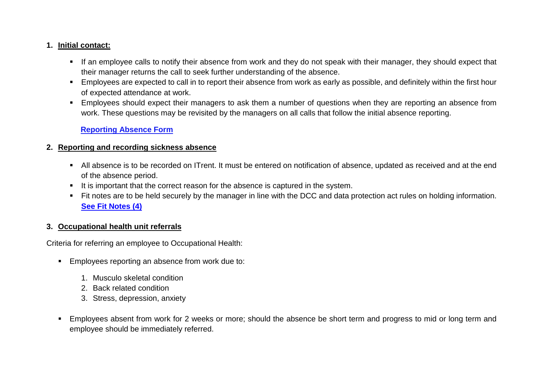#### <span id="page-4-0"></span>**1. Initial contact:**

- If an employee calls to notify their absence from work and they do not speak with their manager, they should expect that their manager returns the call to seek further understanding of the absence.
- Employees are expected to call in to report their absence from work as early as possible, and definitely within the first hour of expected attendance at work.
- Employees should expect their managers to ask them a number of questions when they are reporting an absence from work. These questions may be revisited by the managers on all calls that follow the initial absence reporting.

#### **Reporting Absence Form**

#### **2. Reporting and recording sickness absence**

- All absence is to be recorded on ITrent. It must be entered on notification of absence, updated as received and at the end of the absence period.
- It is important that the correct reason for the absence is captured in the system.
- Fit notes are to be held securely by the manager in line with the DCC and data protection act rules on holding information. **[See Fit Notes \(4\)](#page-6-0)**

### **3. Occupational health unit referrals**

Criteria for referring an employee to Occupational Health:

- **Employees reporting an absence from work due to:** 
	- 1. Musculo skeletal condition
	- 2. Back related condition
	- 3. Stress, depression, anxiety
- Employees absent from work for 2 weeks or more; should the absence be short term and progress to mid or long term and employee should be immediately referred.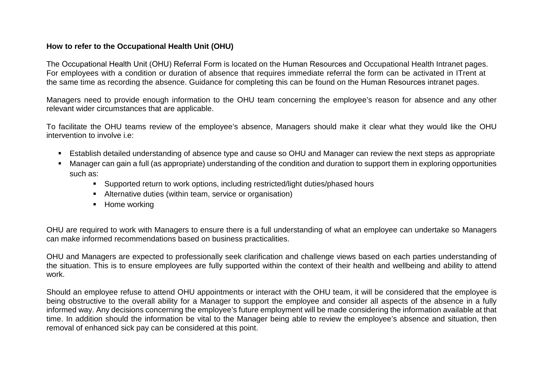#### **How to refer to the Occupational Health Unit (OHU)**

The Occupational Health Unit (OHU) Referral Form is located on the Human Resources and Occupational Health Intranet pages. For employees with a condition or duration of absence that requires immediate referral the form can be activated in ITrent at the same time as recording the absence. Guidance for completing this can be found on the Human Resources intranet pages.

Managers need to provide enough information to the OHU team concerning the employee's reason for absence and any other relevant wider circumstances that are applicable.

To facilitate the OHU teams review of the employee's absence, Managers should make it clear what they would like the OHU intervention to involve i.e:

- Establish detailed understanding of absence type and cause so OHU and Manager can review the next steps as appropriate
- Manager can gain a full (as appropriate) understanding of the condition and duration to support them in exploring opportunities such as:
	- Supported return to work options, including restricted/light duties/phased hours
	- Alternative duties (within team, service or organisation)
	- Home working

OHU are required to work with Managers to ensure there is a full understanding of what an employee can undertake so Managers can make informed recommendations based on business practicalities.

OHU and Managers are expected to professionally seek clarification and challenge views based on each parties understanding of the situation. This is to ensure employees are fully supported within the context of their health and wellbeing and ability to attend work.

Should an employee refuse to attend OHU appointments or interact with the OHU team, it will be considered that the employee is being obstructive to the overall ability for a Manager to support the employee and consider all aspects of the absence in a fully informed way. Any decisions concerning the employee's future employment will be made considering the information available at that time. In addition should the information be vital to the Manager being able to review the employee's absence and situation, then removal of enhanced sick pay can be considered at this point.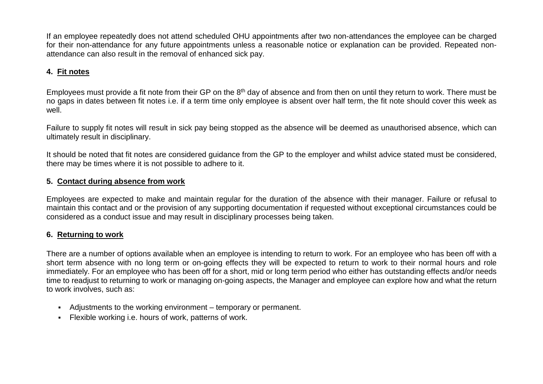<span id="page-6-2"></span>If an employee repeatedly does not attend scheduled OHU appointments after two non-attendances the employee can be charged for their non-attendance for any future appointments unless a reasonable notice or explanation can be provided. Repeated nonattendance can also result in the removal of enhanced sick pay.

## <span id="page-6-0"></span>**4. Fit notes**

Employees must provide a fit note from their GP on the 8<sup>th</sup> day of absence and from then on until they return to work. There must be no gaps in dates between fit notes i.e. if a term time only employee is absent over half term, the fit note should cover this week as well.

Failure to supply fit notes will result in sick pay being stopped as the absence will be deemed as unauthorised absence, which can ultimately result in disciplinary.

It should be noted that fit notes are considered guidance from the GP to the employer and whilst advice stated must be considered, there may be times where it is not possible to adhere to it.

### **5. Contact during absence from work**

Employees are expected to make and maintain regular for the duration of the absence with their manager. Failure or refusal to maintain this contact and or the provision of any supporting documentation if requested without exceptional circumstances could be considered as a conduct issue and may result in disciplinary processes being taken.

### <span id="page-6-1"></span>**6. Returning to work**

There are a number of options available when an employee is intending to return to work. For an employee who has been off with a short term absence with no long term or on-going effects they will be expected to return to work to their normal hours and role immediately. For an employee who has been off for a short, mid or long term period who either has outstanding effects and/or needs time to readjust to returning to work or managing on-going aspects, the Manager and employee can explore how and what the return to work involves, such as:

- Adjustments to the working environment temporary or permanent.
- Flexible working i.e. hours of work, patterns of work.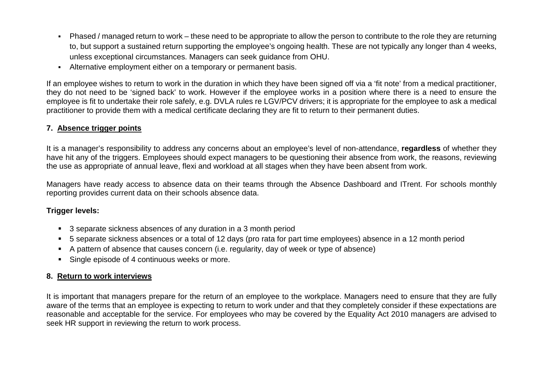- <span id="page-7-2"></span> Phased / managed return to work – these need to be appropriate to allow the person to contribute to the role they are returning to, but support a sustained return supporting the employee's ongoing health. These are not typically any longer than 4 weeks, unless exceptional circumstances. Managers can seek guidance from OHU.
- Alternative employment either on a temporary or permanent basis.

If an employee wishes to return to work in the duration in which they have been signed off via a 'fit note' from a medical practitioner, they do not need to be 'signed back' to work. However if the employee works in a position where there is a need to ensure the employee is fit to undertake their role safely, e.g. DVLA rules re LGV/PCV drivers; it is appropriate for the employee to ask a medical practitioner to provide them with a medical certificate declaring they are fit to return to their permanent duties.

#### <span id="page-7-0"></span>**7. Absence trigger points**

It is a manager's responsibility to address any concerns about an employee's level of non-attendance, **regardless** of whether they have hit any of the triggers. Employees should expect managers to be questioning their absence from work, the reasons, reviewing the use as appropriate of annual leave, flexi and workload at all stages when they have been absent from work.

Managers have ready access to absence data on their teams through the Absence Dashboard and ITrent. For schools monthly reporting provides current data on their schools absence data.

#### **Trigger levels:**

- 3 separate sickness absences of any duration in a 3 month period
- 5 separate sickness absences or a total of 12 days (pro rata for part time employees) absence in a 12 month period
- A pattern of absence that causes concern (i.e. regularity, day of week or type of absence)
- Single episode of 4 continuous weeks or more.

#### <span id="page-7-1"></span>**8. Return to work interviews**

It is important that managers prepare for the return of an employee to the workplace. Managers need to ensure that they are fully aware of the terms that an employee is expecting to return to work under and that they completely consider if these expectations are reasonable and acceptable for the service. For employees who may be covered by the Equality Act 2010 managers are advised to seek HR support in reviewing the return to work process.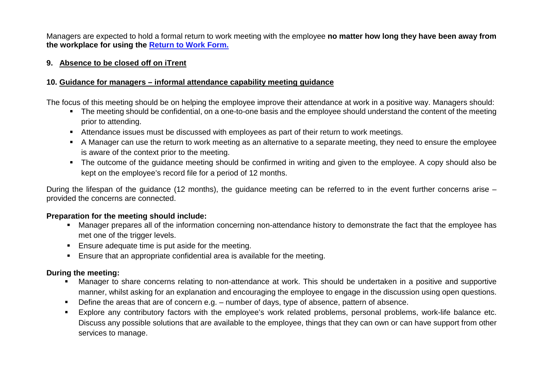Managers are expected to hold a formal return to work meeting with the employee **no matter how long they have been away from the workplace for using the Return to Work Form.**

#### <span id="page-8-0"></span>**9. Absence to be closed off on iTrent**

## <span id="page-8-1"></span>**10. Guidance for managers – informal attendance capability meeting guidance**

The focus of this meeting should be on helping the employee improve their attendance at work in a positive way. Managers should:

- The meeting should be confidential, on a one-to-one basis and the employee should understand the content of the meeting prior to attending.
- Attendance issues must be discussed with employees as part of their return to work meetings.
- A Manager can use the return to work meeting as an alternative to a separate meeting, they need to ensure the employee is aware of the context prior to the meeting.
- The outcome of the guidance meeting should be confirmed in writing and given to the employee. A copy should also be kept on the employee's record file for a period of 12 months.

During the lifespan of the guidance (12 months), the guidance meeting can be referred to in the event further concerns arise – provided the concerns are connected.

### **Preparation for the meeting should include:**

- Manager prepares all of the information concerning non-attendance history to demonstrate the fact that the employee has met one of the trigger levels.
- **Ensure adequate time is put aside for the meeting.**
- Ensure that an appropriate confidential area is available for the meeting.

## **During the meeting:**

- Manager to share concerns relating to non-attendance at work. This should be undertaken in a positive and supportive manner, whilst asking for an explanation and encouraging the employee to engage in the discussion using open questions.
- Define the areas that are of concern e.g. number of days, type of absence, pattern of absence.
- Explore any contributory factors with the employee's work related problems, personal problems, work-life balance etc. Discuss any possible solutions that are available to the employee, things that they can own or can have support from other services to manage.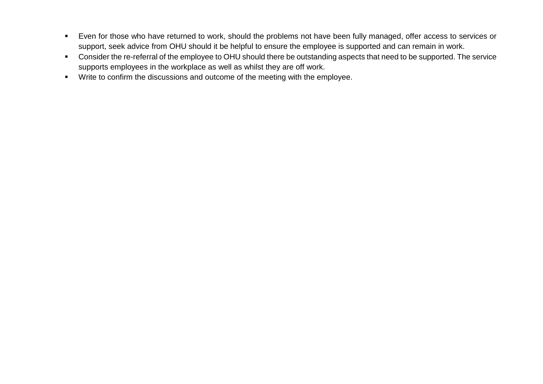- <span id="page-9-0"></span> Even for those who have returned to work, should the problems not have been fully managed, offer access to services or support, seek advice from OHU should it be helpful to ensure the employee is supported and can remain in work.
- **•** Consider the re-referral of the employee to OHU should there be outstanding aspects that need to be supported. The service supports employees in the workplace as well as whilst they are off work.
- **Write to confirm the discussions and outcome of the meeting with the employee.**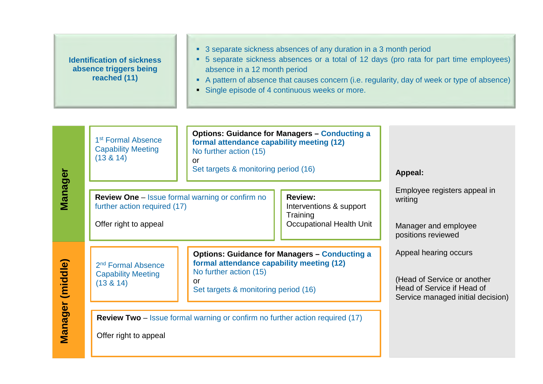|                  | <b>Identification of sickness</b><br>absence triggers being<br>reached (11)                                                                                                                 | absence in a 12 month period                                                                                                                                                                                                                                           | • 3 separate sickness absences of any duration in a 3 month period<br>• Single episode of 4 continuous weeks or more.                            | • 5 separate sickness absences or a total of 12 days (pro rata for part time employees)<br>• A pattern of absence that causes concern (i.e. regularity, day of week or type of absence) |  |
|------------------|---------------------------------------------------------------------------------------------------------------------------------------------------------------------------------------------|------------------------------------------------------------------------------------------------------------------------------------------------------------------------------------------------------------------------------------------------------------------------|--------------------------------------------------------------------------------------------------------------------------------------------------|-----------------------------------------------------------------------------------------------------------------------------------------------------------------------------------------|--|
| Manager          | 1 <sup>st</sup> Formal Absence<br><b>Capability Meeting</b><br>(13 & 14)<br><b>Review One</b> – Issue formal warning or confirm no<br>further action required (17)<br>Offer right to appeal | formal attendance capability meeting (12)<br>No further action (15)<br><b>or</b><br>Set targets & monitoring period (16)                                                                                                                                               | <b>Options: Guidance for Managers - Conducting a</b><br><b>Review:</b><br>Interventions & support<br>Training<br><b>Occupational Health Unit</b> | Appeal:<br>Employee registers appeal in<br>writing<br>Manager and employee                                                                                                              |  |
| Manager (middle) | 2 <sup>nd</sup> Formal Absence<br><b>Capability Meeting</b><br>(13 & 14)<br>Offer right to appeal                                                                                           | <b>Options: Guidance for Managers - Conducting a</b><br>formal attendance capability meeting (12)<br>No further action (15)<br>$\alpha$<br>Set targets & monitoring period (16)<br><b>Review Two</b> – Issue formal warning or confirm no further action required (17) |                                                                                                                                                  | positions reviewed<br>Appeal hearing occurs<br>(Head of Service or another<br>Head of Service if Head of<br>Service managed initial decision)                                           |  |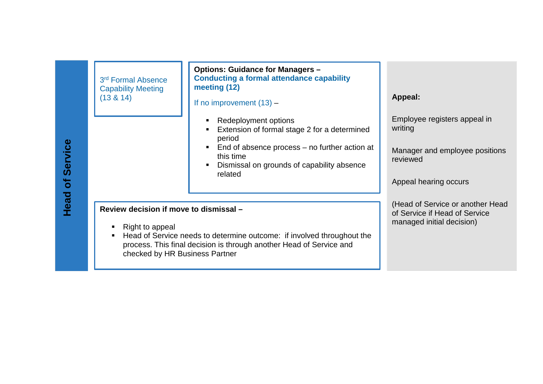| Service<br>$\overline{\sigma}$ | 3rd Formal Absence<br><b>Capability Meeting</b><br>(13 & 14)                                                                                                                                                                                      | <b>Options: Guidance for Managers -</b><br><b>Conducting a formal attendance capability</b><br>meeting (12)<br>If no improvement $(13)$ –<br>Redeployment options<br>Extension of formal stage 2 for a determined<br>period<br>End of absence process – no further action at<br>this time<br>Dismissal on grounds of capability absence<br>related | <b>Appeal:</b><br>Employee registers appeal in<br>writing<br>Manager and employee positions<br>reviewed<br>Appeal hearing occurs |
|--------------------------------|---------------------------------------------------------------------------------------------------------------------------------------------------------------------------------------------------------------------------------------------------|----------------------------------------------------------------------------------------------------------------------------------------------------------------------------------------------------------------------------------------------------------------------------------------------------------------------------------------------------|----------------------------------------------------------------------------------------------------------------------------------|
| Head                           | Review decision if move to dismissal -<br>Right to appeal<br>Head of Service needs to determine outcome: if involved throughout the<br>٠<br>process. This final decision is through another Head of Service and<br>checked by HR Business Partner |                                                                                                                                                                                                                                                                                                                                                    | (Head of Service or another Head<br>of Service if Head of Service<br>managed initial decision)                                   |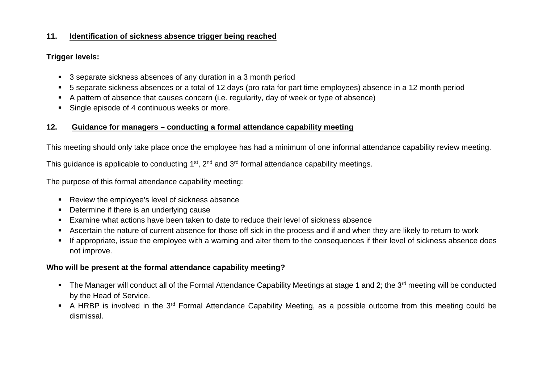#### <span id="page-12-0"></span>**11. Identification of sickness absence trigger being reached**

## **Trigger levels:**

- 3 separate sickness absences of any duration in a 3 month period
- 5 separate sickness absences or a total of 12 days (pro rata for part time employees) absence in a 12 month period
- A pattern of absence that causes concern (i.e. regularity, day of week or type of absence)
- <span id="page-12-1"></span>Single episode of 4 continuous weeks or more.

## **12. Guidance for managers – conducting a formal attendance capability meeting**

This meeting should only take place once the employee has had a minimum of one informal attendance capability review meeting.

This guidance is applicable to conducting  $1<sup>st</sup>$ ,  $2<sup>nd</sup>$  and  $3<sup>rd</sup>$  formal attendance capability meetings.

The purpose of this formal attendance capability meeting:

- Review the employee's level of sickness absence
- Determine if there is an underlying cause
- Examine what actions have been taken to date to reduce their level of sickness absence
- Ascertain the nature of current absence for those off sick in the process and if and when they are likely to return to work
- If appropriate, issue the employee with a warning and alter them to the consequences if their level of sickness absence does not improve.

### **Who will be present at the formal attendance capability meeting?**

- The Manager will conduct all of the Formal Attendance Capability Meetings at stage 1 and 2; the 3<sup>rd</sup> meeting will be conducted by the Head of Service.
- A HRBP is involved in the 3<sup>rd</sup> Formal Attendance Capability Meeting, as a possible outcome from this meeting could be dismissal.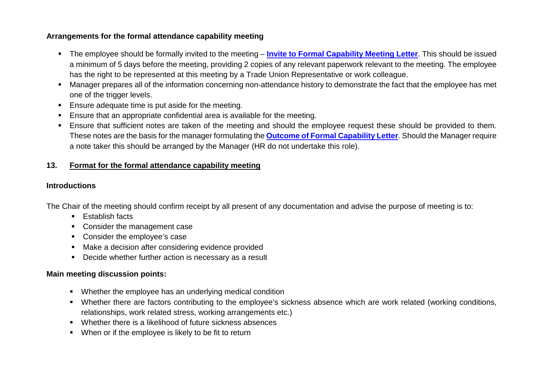### **Arrangements for the formal attendance capability meeting**

- The employee should be formally invited to the meeting **Invite to Formal Capability Meeting Letter**. This should be issued a minimum of 5 days before the meeting, providing 2 copies of any relevant paperwork relevant to the meeting. The employee has the right to be represented at this meeting by a Trade Union Representative or work colleague.
- Manager prepares all of the information concerning non-attendance history to demonstrate the fact that the employee has met one of the trigger levels.
- **Ensure adequate time is put aside for the meeting.**
- Ensure that an appropriate confidential area is available for the meeting.
- Ensure that sufficient notes are taken of the meeting and should the employee request these should be provided to them. These notes are the basis for the manager formulating the **Outcome of Formal Capability Letter**. Should the Manager require a note taker this should be arranged by the Manager (HR do not undertake this role).

## <span id="page-13-0"></span>**13. Format for the formal attendance capability meeting**

#### **Introductions**

The Chair of the meeting should confirm receipt by all present of any documentation and advise the purpose of meeting is to:

- **Establish facts**
- Consider the management case
- Consider the employee's case
- Make a decision after considering evidence provided
- Decide whether further action is necessary as a result

## **Main meeting discussion points:**

- Whether the employee has an underlying medical condition
- Whether there are factors contributing to the employee's sickness absence which are work related (working conditions, relationships, work related stress, working arrangements etc.)
- Whether there is a likelihood of future sickness absences
- When or if the employee is likely to be fit to return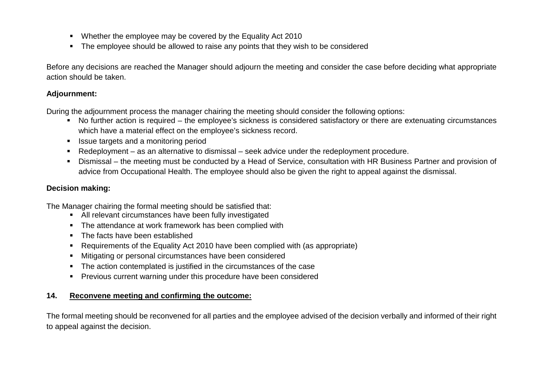- Whether the employee may be covered by the Equality Act 2010
- The employee should be allowed to raise any points that they wish to be considered

Before any decisions are reached the Manager should adjourn the meeting and consider the case before deciding what appropriate action should be taken.

#### **Adjournment:**

During the adjournment process the manager chairing the meeting should consider the following options:

- No further action is required the employee's sickness is considered satisfactory or there are extenuating circumstances which have a material effect on the employee's sickness record.
- Issue targets and a monitoring period
- Redeployment as an alternative to dismissal seek advice under the redeployment procedure.
- Dismissal the meeting must be conducted by a Head of Service, consultation with HR Business Partner and provision of advice from Occupational Health. The employee should also be given the right to appeal against the dismissal.

#### **Decision making:**

The Manager chairing the formal meeting should be satisfied that:

- All relevant circumstances have been fully investigated
- The attendance at work framework has been complied with
- The facts have been established
- Requirements of the Equality Act 2010 have been complied with (as appropriate)
- Mitigating or personal circumstances have been considered
- The action contemplated is justified in the circumstances of the case
- Previous current warning under this procedure have been considered

### **14. Reconvene meeting and confirming the outcome:**

The formal meeting should be reconvened for all parties and the employee advised of the decision verbally and informed of their right to appeal against the decision.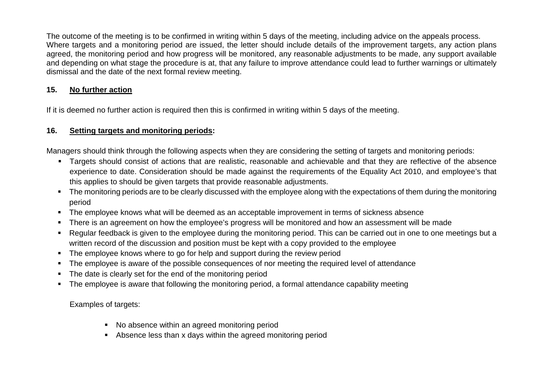The outcome of the meeting is to be confirmed in writing within 5 days of the meeting, including advice on the appeals process. Where targets and a monitoring period are issued, the letter should include details of the improvement targets, any action plans agreed, the monitoring period and how progress will be monitored, any reasonable adjustments to be made, any support available and depending on what stage the procedure is at, that any failure to improve attendance could lead to further warnings or ultimately dismissal and the date of the next formal review meeting.

## <span id="page-15-0"></span>**15. No further action**

If it is deemed no further action is required then this is confirmed in writing within 5 days of the meeting.

## <span id="page-15-1"></span>**16. Setting targets and monitoring periods:**

Managers should think through the following aspects when they are considering the setting of targets and monitoring periods:

- Targets should consist of actions that are realistic, reasonable and achievable and that they are reflective of the absence experience to date. Consideration should be made against the requirements of the Equality Act 2010, and employee's that this applies to should be given targets that provide reasonable adjustments.
- The monitoring periods are to be clearly discussed with the employee along with the expectations of them during the monitoring period
- **The employee knows what will be deemed as an acceptable improvement in terms of sickness absence**
- There is an agreement on how the employee's progress will be monitored and how an assessment will be made
- Regular feedback is given to the employee during the monitoring period. This can be carried out in one to one meetings but a written record of the discussion and position must be kept with a copy provided to the employee
- The employee knows where to go for help and support during the review period
- **The employee is aware of the possible consequences of nor meeting the required level of attendance**
- The date is clearly set for the end of the monitoring period
- The employee is aware that following the monitoring period, a formal attendance capability meeting

Examples of targets:

- No absence within an agreed monitoring period
- Absence less than x days within the agreed monitoring period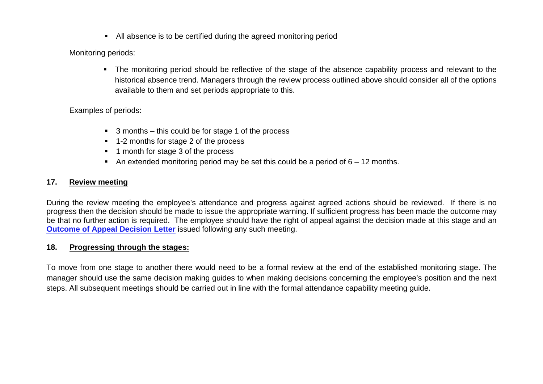All absence is to be certified during the agreed monitoring period

Monitoring periods:

 The monitoring period should be reflective of the stage of the absence capability process and relevant to the historical absence trend. Managers through the review process outlined above should consider all of the options available to them and set periods appropriate to this.

#### Examples of periods:

- 3 months this could be for stage 1 of the process
- 1-2 months for stage 2 of the process
- 1 month for stage 3 of the process
- An extended monitoring period may be set this could be a period of  $6 12$  months.

### <span id="page-16-0"></span>**17. Review meeting**

During the review meeting the employee's attendance and progress against agreed actions should be reviewed. If there is no progress then the decision should be made to issue the appropriate warning. If sufficient progress has been made the outcome may be that no further action is required. The employee should have the right of appeal against the decision made at this stage and an **Outcome of Appeal Decision Letter** issued following any such meeting.

#### **18. Progressing through the stages:**

To move from one stage to another there would need to be a formal review at the end of the established monitoring stage. The manager should use the same decision making guides to when making decisions concerning the employee's position and the next steps. All subsequent meetings should be carried out in line with the formal attendance capability meeting guide.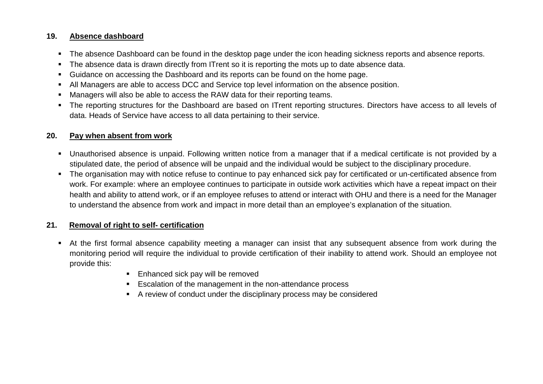#### **19. Absence dashboard**

- The absence Dashboard can be found in the desktop page under the icon heading sickness reports and absence reports.
- The absence data is drawn directly from ITrent so it is reporting the mots up to date absence data.
- Guidance on accessing the Dashboard and its reports can be found on the home page.
- All Managers are able to access DCC and Service top level information on the absence position.
- Managers will also be able to access the RAW data for their reporting teams.
- The reporting structures for the Dashboard are based on ITrent reporting structures. Directors have access to all levels of data. Heads of Service have access to all data pertaining to their service.

### **20. Pay when absent from work**

- Unauthorised absence is unpaid. Following written notice from a manager that if a medical certificate is not provided by a stipulated date, the period of absence will be unpaid and the individual would be subject to the disciplinary procedure.
- The organisation may with notice refuse to continue to pay enhanced sick pay for certificated or un-certificated absence from work. For example: where an employee continues to participate in outside work activities which have a repeat impact on their health and ability to attend work, or if an employee refuses to attend or interact with OHU and there is a need for the Manager to understand the absence from work and impact in more detail than an employee's explanation of the situation.

## **21. Removal of right to self- certification**

- At the first formal absence capability meeting a manager can insist that any subsequent absence from work during the monitoring period will require the individual to provide certification of their inability to attend work. Should an employee not provide this:
	- **Enhanced sick pay will be removed**
	- **Escalation of the management in the non-attendance process**
	- A review of conduct under the disciplinary process may be considered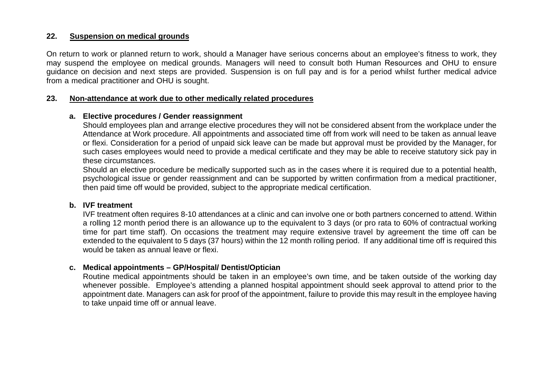#### **22. Suspension on medical grounds**

On return to work or planned return to work, should a Manager have serious concerns about an employee's fitness to work, they may suspend the employee on medical grounds. Managers will need to consult both Human Resources and OHU to ensure guidance on decision and next steps are provided. Suspension is on full pay and is for a period whilst further medical advice from a medical practitioner and OHU is sought.

#### **23. Non-attendance at work due to other medically related procedures**

#### **a. Elective procedures / Gender reassignment**

Should employees plan and arrange elective procedures they will not be considered absent from the workplace under the Attendance at Work procedure. All appointments and associated time off from work will need to be taken as annual leave or flexi. Consideration for a period of unpaid sick leave can be made but approval must be provided by the Manager, for such cases employees would need to provide a medical certificate and they may be able to receive statutory sick pay in these circumstances.

Should an elective procedure be medically supported such as in the cases where it is required due to a potential health, psychological issue or gender reassignment and can be supported by written confirmation from a medical practitioner, then paid time off would be provided, subject to the appropriate medical certification.

#### **b. IVF treatment**

IVF treatment often requires 8-10 attendances at a clinic and can involve one or both partners concerned to attend. Within a rolling 12 month period there is an allowance up to the equivalent to 3 days (or pro rata to 60% of contractual working time for part time staff). On occasions the treatment may require extensive travel by agreement the time off can be extended to the equivalent to 5 days (37 hours) within the 12 month rolling period. If any additional time off is required this would be taken as annual leave or flexi.

#### **c. Medical appointments – GP/Hospital/ Dentist/Optician**

Routine medical appointments should be taken in an employee's own time, and be taken outside of the working day whenever possible. Employee's attending a planned hospital appointment should seek approval to attend prior to the appointment date. Managers can ask for proof of the appointment, failure to provide this may result in the employee having to take unpaid time off or annual leave.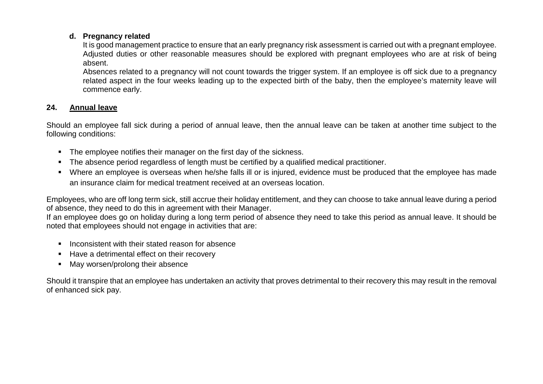#### **d. Pregnancy related**

It is good management practice to ensure that an early pregnancy risk assessment is carried out with a pregnant employee. Adjusted duties or other reasonable measures should be explored with pregnant employees who are at risk of being absent.

Absences related to a pregnancy will not count towards the trigger system. If an employee is off sick due to a pregnancy related aspect in the four weeks leading up to the expected birth of the baby, then the employee's maternity leave will commence early.

## **24. Annual leave**

Should an employee fall sick during a period of annual leave, then the annual leave can be taken at another time subject to the following conditions:

- The employee notifies their manager on the first day of the sickness.
- The absence period regardless of length must be certified by a qualified medical practitioner.
- Where an employee is overseas when he/she falls ill or is injured, evidence must be produced that the employee has made an insurance claim for medical treatment received at an overseas location.

Employees, who are off long term sick, still accrue their holiday entitlement, and they can choose to take annual leave during a period of absence, they need to do this in agreement with their Manager.

If an employee does go on holiday during a long term period of absence they need to take this period as annual leave. It should be noted that employees should not engage in activities that are:

- $\blacksquare$  Inconsistent with their stated reason for absence
- Have a detrimental effect on their recovery
- May worsen/prolong their absence

Should it transpire that an employee has undertaken an activity that proves detrimental to their recovery this may result in the removal of enhanced sick pay.